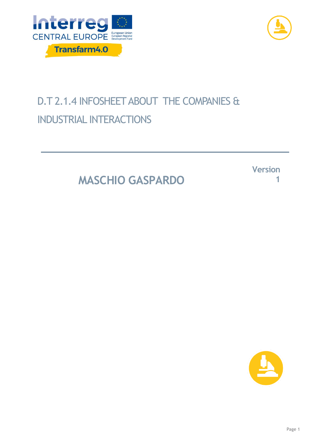



## D.T 2.1.4 INFOSHEET ABOUT THE COMPANIES & INDUSTRIAL INTERACTIONS

**MASCHIO GASPARDO**

**Version 1**

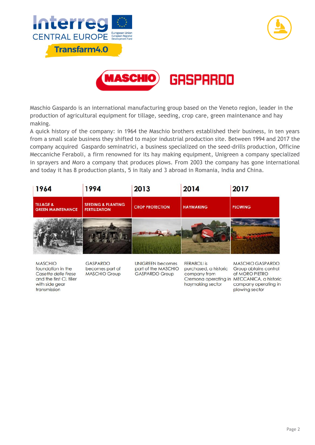



Maschio Gaspardo is an international manufacturing group based on the Veneto region, leader in the production of agricultural equipment for tillage, seeding, crop care, green maintenance and hay

making. A quick history of the company: in 1964 the Maschio brothers established their business, in ten years from a small scale business they shifted to major industrial production site. Between 1994 and 2017 the company acquired Gaspardo seminatrici, a business specialized on the seed-drills production, Officine Meccaniche Feraboli, a firm renowned for its hay making equipment, Unigreen a company specialized in sprayers and Moro a company that produces plows. From 2003 the company has gone international and today it has 8 production plants, 5 in Italy and 3 abroad in Romania, India and China.

| 1964                                             | 1994                                                  | 2013                   | 2014             | 2017           |
|--------------------------------------------------|-------------------------------------------------------|------------------------|------------------|----------------|
| <b>TILLAGE &amp;</b><br><b>GREEN MAINTENANCE</b> | <b>SEEDING &amp; PLANTING</b><br><b>FERTILIZATION</b> | <b>CROP PROTECTION</b> | <b>HAYMAKING</b> | <b>PLOWING</b> |
|                                                  |                                                       |                        |                  |                |

**MASCHIO** foundation in the Casetta delle Frese and the first CL tiller with side gear transmission

**GASPARDO** becomes part of **MASCHIO Group** 

**UNIGREEN becomes** part of the MASCHIO **GASPARDO Group** 

**FERABOLI** is purchased, a historic Group obtains control company from Cremona operating in MECCANICA, a historic haymaking sector

MASCHIO GASPARDO of MORO PIETRO company operating in plowing sector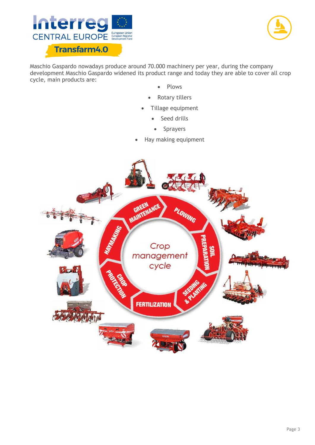



Maschio Gaspardo nowadays produce around 70.000 machinery per year, during the company development Maschio Gaspardo widened its product range and today they are able to cover all crop cycle, main products are:

- Plows
- Rotary tillers
- Tillage equipment
	- Seed drills
		- Sprayers
- Hay making equipment

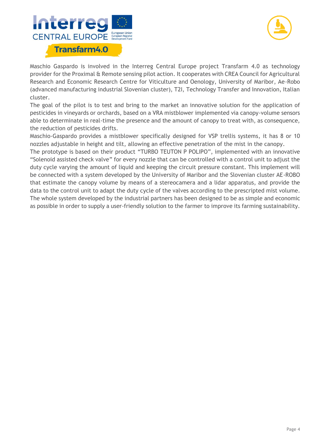



Maschio Gaspardo is involved in the Interreg Central Europe project Transfarm 4.0 as technology provider for the Proximal & Remote sensing pilot action. It cooperates with CREA Council for Agricultural Research and Economic Research Centre for Viticulture and Oenology, University of Maribor, Ae-Robo (advanced manufacturing industrial Slovenian cluster), T2I, Technology Transfer and Innovation, Italian cluster.

The goal of the pilot is to test and bring to the market an innovative solution for the application of pesticides in vineyards or orchards, based on a VRA mistblower implemented via canopy-volume sensors able to determinate in real-time the presence and the amount of canopy to treat with, as consequence, the reduction of pesticides drifts.

Maschio-Gaspardo provides a mistblower specifically designed for VSP trellis systems, it has 8 or 10 nozzles adjustable in height and tilt, allowing an effective penetration of the mist in the canopy.

The prototype is based on their product "TURBO TEUTON P POLIPO", implemented with an innovative "Solenoid assisted check valve" for every nozzle that can be controlled with a control unit to adjust the duty cycle varying the amount of liquid and keeping the circuit pressure constant. This implement will be connected with a system developed by the University of Maribor and the Slovenian cluster AE-ROBO that estimate the canopy volume by means of a stereocamera and a lidar apparatus, and provide the data to the control unit to adapt the duty cycle of the valves according to the prescripted mist volume. The whole system developed by the industrial partners has been designed to be as simple and economic as possible in order to supply a user-friendly solution to the farmer to improve its farming sustainability.